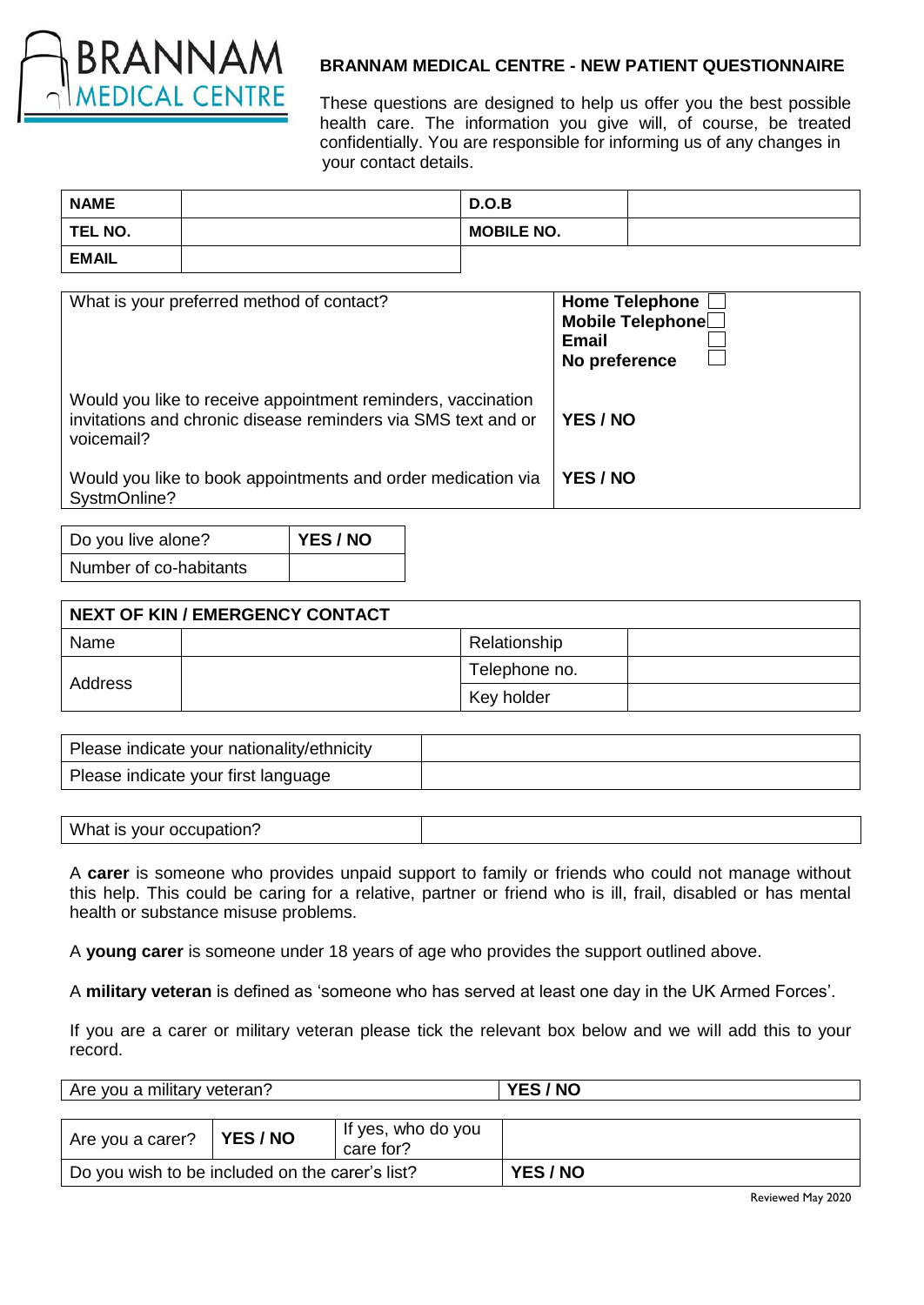

# **BRANNAM MEDICAL CENTRE - NEW PATIENT QUESTIONNAIRE**

These questions are designed to help us offer you the best possible health care. The information you give will, of course, be treated confidentially. You are responsible for informing us of any changes in your contact details.

| <b>NAME</b>  | D.O.B             |  |
|--------------|-------------------|--|
| TEL NO.      | <b>MOBILE NO.</b> |  |
| <b>EMAIL</b> |                   |  |

| What is your preferred method of contact?                                                                                                   | <b>Home Telephone</b><br>Mobile Telephone<br>Email<br>No preference |
|---------------------------------------------------------------------------------------------------------------------------------------------|---------------------------------------------------------------------|
| Would you like to receive appointment reminders, vaccination<br>invitations and chronic disease reminders via SMS text and or<br>voicemail? | YES / NO                                                            |
| Would you like to book appointments and order medication via<br>SystmOnline?                                                                | YES / NO                                                            |

| Do you live alone?     | YES / NO |
|------------------------|----------|
| Number of co-habitants |          |

| <b>NEXT OF KIN / EMERGENCY CONTACT</b> |  |               |  |  |  |
|----------------------------------------|--|---------------|--|--|--|
| Name                                   |  | Relationship  |  |  |  |
|                                        |  | Telephone no. |  |  |  |
| Address                                |  | Key holder    |  |  |  |

| Please indicate your nationality/ethnicity |  |
|--------------------------------------------|--|
| Please indicate your first language        |  |

| What is your occupation? |  |
|--------------------------|--|
|--------------------------|--|

A **carer** is someone who provides unpaid support to family or friends who could not manage without this help. This could be caring for a relative, partner or friend who is ill, frail, disabled or has mental health or substance misuse problems.

A **young carer** is someone under 18 years of age who provides the support outlined above.

A **military veteran** is defined as 'someone who has served at least one day in the UK Armed Forces'.

If you are a carer or military veteran please tick the relevant box below and we will add this to your record.

| Are you a military veteran?                     |               |                                 | YES / NO |
|-------------------------------------------------|---------------|---------------------------------|----------|
|                                                 |               |                                 |          |
| Are you a carer?                                | <b>YES/NO</b> | If yes, who do you<br>care for? |          |
| Do you wish to be included on the carer's list? |               |                                 | YES / NO |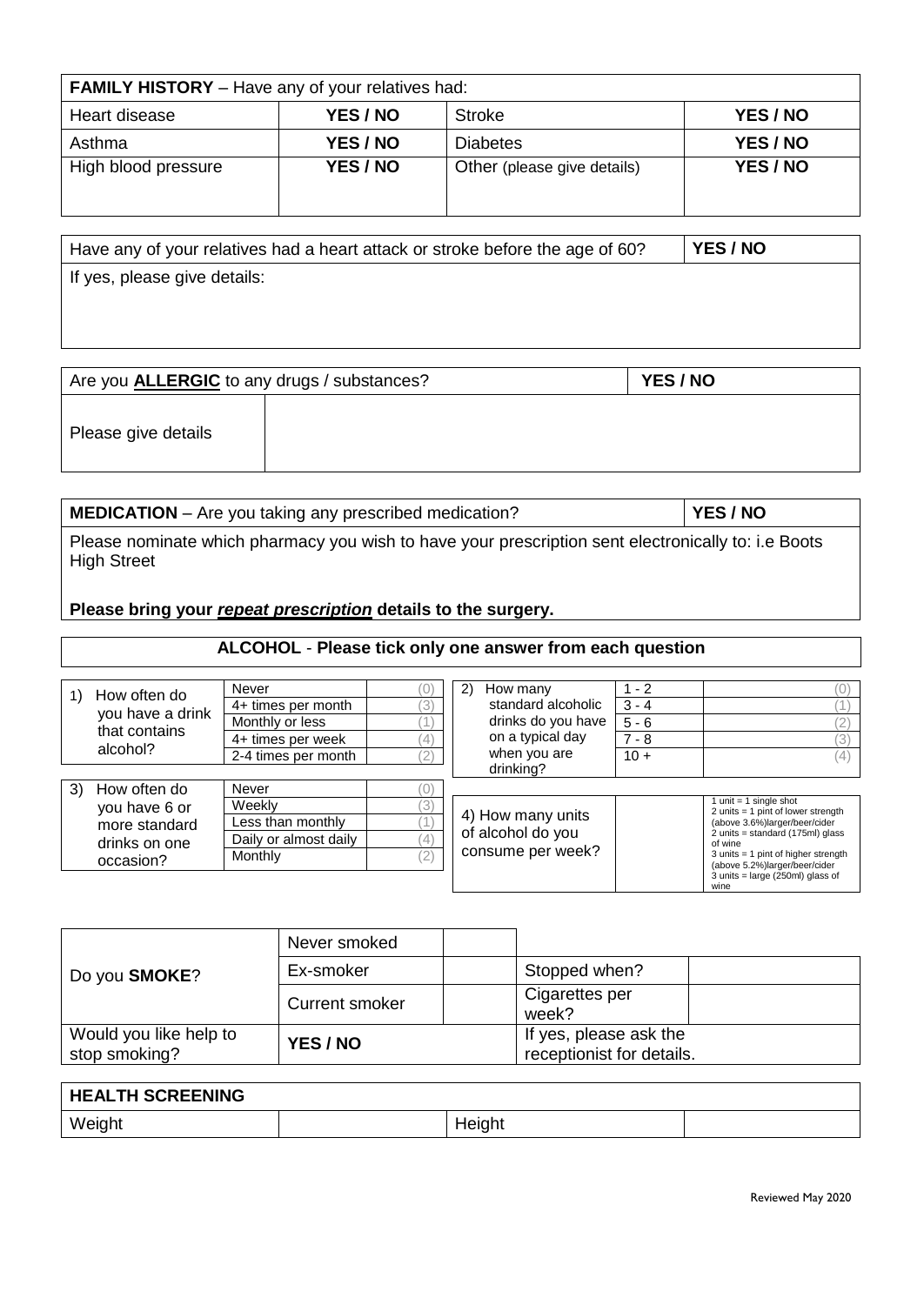| <b>FAMILY HISTORY</b> – Have any of your relatives had: |          |                             |          |  |  |
|---------------------------------------------------------|----------|-----------------------------|----------|--|--|
| YES / NO<br>YES / NO<br>Heart disease<br>Stroke         |          |                             |          |  |  |
| Asthma                                                  | YES / NO | <b>Diabetes</b>             | YES / NO |  |  |
| High blood pressure                                     | YES / NO | Other (please give details) | YES / NO |  |  |

| Have any of your relatives had a heart attack or stroke before the age of 60? | YES / NO |
|-------------------------------------------------------------------------------|----------|
| If yes, please give details:                                                  |          |
|                                                                               |          |

| Are you <b>ALLERGIC</b> to any drugs / substances? | YES / NO |  |  |
|----------------------------------------------------|----------|--|--|
| Please give details                                |          |  |  |

| MEDICATION - Are you taking any prescribed medication?                                                             | YES / NO |
|--------------------------------------------------------------------------------------------------------------------|----------|
| Please nominate which pharmacy you wish to have your prescription sent electronically to: i.e Boots<br>High Street |          |

**Please bring your** *repeat prescription* **details to the surgery.**

# **ALCOHOL** - **Please tick only one answer from each question**

|    | How often do     | Never                 |               | (2)<br>How many    | $1 - 2$ |                                                                             |
|----|------------------|-----------------------|---------------|--------------------|---------|-----------------------------------------------------------------------------|
|    | you have a drink | 4+ times per month    | 3)            | standard alcoholic | $3 - 4$ |                                                                             |
|    |                  | Monthly or less       |               | drinks do you have | $5 - 6$ |                                                                             |
|    | that contains    | 4+ times per week     | (4)           | on a typical day   | $7 - 8$ |                                                                             |
|    | alcohol?         | 2-4 times per month   | $^{\prime}2)$ | when you are       | $10 +$  |                                                                             |
|    |                  |                       |               | drinking?          |         |                                                                             |
| 3) | How often do     | Never                 |               |                    |         |                                                                             |
|    | you have 6 or    | Weekly                | (3)           |                    |         | 1 unit $=$ 1 single shot<br>2 units $= 1$ pint of lower strength            |
|    | more standard    | Less than monthly     |               | 4) How many units  |         | (above 3.6%)larger/beer/cider                                               |
|    | drinks on one    | Daily or almost daily | (4)           | of alcohol do you  |         | 2 units = standard (175ml) glass<br>of wine                                 |
|    | occasion?        | Monthly               | (2)           | consume per week?  |         | $3$ units = 1 pint of higher strength                                       |
|    |                  |                       |               |                    |         | (above 5.2%)larger/beer/cider<br>$3$ units = large (250ml) glass of<br>wine |

| Do you <b>SMOKE?</b>                    | Never smoked   |  |                                                     |  |
|-----------------------------------------|----------------|--|-----------------------------------------------------|--|
|                                         | Ex-smoker      |  | Stopped when?                                       |  |
|                                         | Current smoker |  | Cigarettes per<br>week?                             |  |
| Would you like help to<br>stop smoking? | YES / NO       |  | If yes, please ask the<br>receptionist for details. |  |

| <b>HEALTH SCREENING</b> |        |  |
|-------------------------|--------|--|
| Weight                  | Height |  |